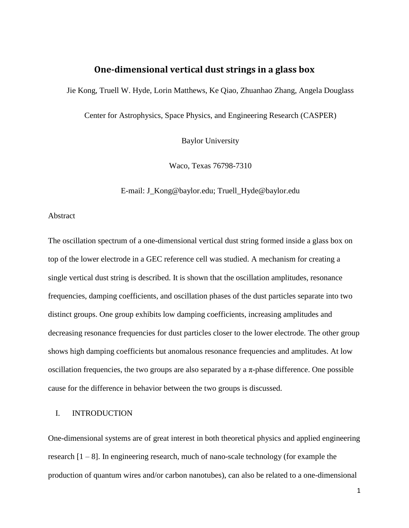# **One-dimensional vertical dust strings in a glass box**

Jie Kong, Truell W. Hyde, Lorin Matthews, Ke Qiao, Zhuanhao Zhang, Angela Douglass

Center for Astrophysics, Space Physics, and Engineering Research (CASPER)

Baylor University

Waco, Texas 76798-7310

E-mail: [J\\_Kong@baylor.edu;](mailto:J_Kong@baylor.edu) Truell\_Hyde@baylor.edu

## Abstract

The oscillation spectrum of a one-dimensional vertical dust string formed inside a glass box on top of the lower electrode in a GEC reference cell was studied. A mechanism for creating a single vertical dust string is described. It is shown that the oscillation amplitudes, resonance frequencies, damping coefficients, and oscillation phases of the dust particles separate into two distinct groups. One group exhibits low damping coefficients, increasing amplitudes and decreasing resonance frequencies for dust particles closer to the lower electrode. The other group shows high damping coefficients but anomalous resonance frequencies and amplitudes. At low oscillation frequencies, the two groups are also separated by a  $\pi$ -phase difference. One possible cause for the difference in behavior between the two groups is discussed.

## I. INTRODUCTION

One-dimensional systems are of great interest in both theoretical physics and applied engineering research [1 – 8]. In engineering research, much of nano-scale technology (for example the production of quantum wires and/or carbon nanotubes), can also be related to a one-dimensional

1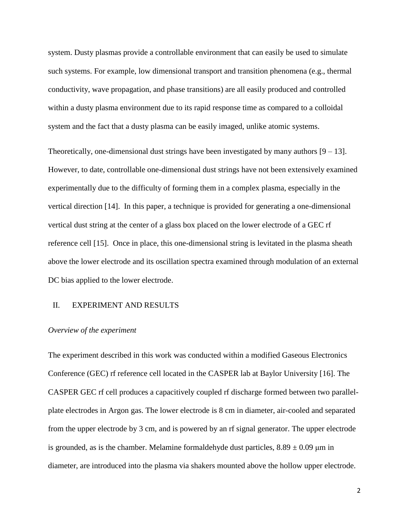system. Dusty plasmas provide a controllable environment that can easily be used to simulate such systems. For example, low dimensional transport and transition phenomena (e.g., thermal conductivity, wave propagation, and phase transitions) are all easily produced and controlled within a dusty plasma environment due to its rapid response time as compared to a colloidal system and the fact that a dusty plasma can be easily imaged, unlike atomic systems.

Theoretically, one-dimensional dust strings have been investigated by many authors  $[9 - 13]$ . However, to date, controllable one-dimensional dust strings have not been extensively examined experimentally due to the difficulty of forming them in a complex plasma, especially in the vertical direction [14]. In this paper, a technique is provided for generating a one-dimensional vertical dust string at the center of a glass box placed on the lower electrode of a GEC rf reference cell [15]. Once in place, this one-dimensional string is levitated in the plasma sheath above the lower electrode and its oscillation spectra examined through modulation of an external DC bias applied to the lower electrode.

## II. EXPERIMENT AND RESULTS

#### *Overview of the experiment*

The experiment described in this work was conducted within a modified Gaseous Electronics Conference (GEC) rf reference cell located in the CASPER lab at Baylor University [16]. The CASPER GEC rf cell produces a capacitively coupled rf discharge formed between two parallelplate electrodes in Argon gas. The lower electrode is 8 cm in diameter, air-cooled and separated from the upper electrode by 3 cm, and is powered by an rf signal generator. The upper electrode is grounded, as is the chamber. Melamine formaldehyde dust particles,  $8.89 \pm 0.09$  µm in diameter, are introduced into the plasma via shakers mounted above the hollow upper electrode.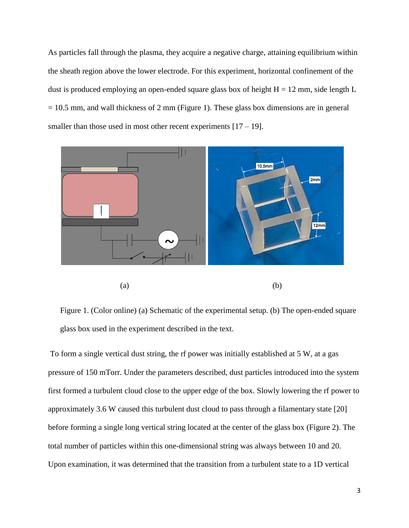As particles fall through the plasma, they acquire a negative charge, attaining equilibrium within the sheath region above the lower electrode. For this experiment, horizontal confinement of the dust is produced employing an open-ended square glass box of height  $H = 12$  mm, side length L  $= 10.5$  mm, and wall thickness of 2 mm (Figure 1). These glass box dimensions are in general smaller than those used in most other recent experiments  $[17 - 19]$ .



Figure 1. (Color online) (a) Schematic of the experimental setup. (b) The open-ended square glass box used in the experiment described in the text.

To form a single vertical dust string, the rf power was initially established at 5 W, at a gas pressure of 150 mTorr. Under the parameters described, dust particles introduced into the system first formed a turbulent cloud close to the upper edge of the box. Slowly lowering the rf power to approximately 3.6 W caused this turbulent dust cloud to pass through a filamentary state [20] before forming a single long vertical string located at the center of the glass box (Figure 2). The total number of particles within this one-dimensional string was always between 10 and 20. Upon examination, it was determined that the transition from a turbulent state to a 1D vertical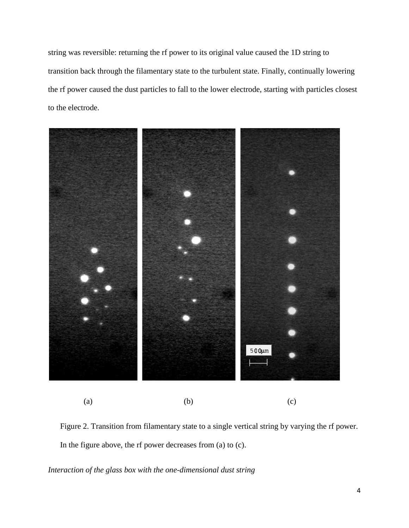string was reversible: returning the rf power to its original value caused the 1D string to transition back through the filamentary state to the turbulent state. Finally, continually lowering the rf power caused the dust particles to fall to the lower electrode, starting with particles closest to the electrode.



(a)  $(b)$  (c)

Figure 2. Transition from filamentary state to a single vertical string by varying the rf power. In the figure above, the rf power decreases from (a) to (c).

*Interaction of the glass box with the one-dimensional dust string*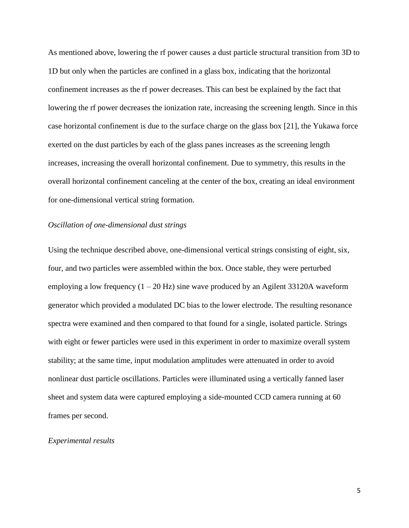As mentioned above, lowering the rf power causes a dust particle structural transition from 3D to 1D but only when the particles are confined in a glass box, indicating that the horizontal confinement increases as the rf power decreases. This can best be explained by the fact that lowering the rf power decreases the ionization rate, increasing the screening length. Since in this case horizontal confinement is due to the surface charge on the glass box [21], the Yukawa force exerted on the dust particles by each of the glass panes increases as the screening length increases, increasing the overall horizontal confinement. Due to symmetry, this results in the overall horizontal confinement canceling at the center of the box, creating an ideal environment for one-dimensional vertical string formation.

## *Oscillation of one-dimensional dust strings*

Using the technique described above, one-dimensional vertical strings consisting of eight, six, four, and two particles were assembled within the box. Once stable, they were perturbed employing a low frequency  $(1 - 20 \text{ Hz})$  sine wave produced by an Agilent 33120A waveform generator which provided a modulated DC bias to the lower electrode. The resulting resonance spectra were examined and then compared to that found for a single, isolated particle. Strings with eight or fewer particles were used in this experiment in order to maximize overall system stability; at the same time, input modulation amplitudes were attenuated in order to avoid nonlinear dust particle oscillations. Particles were illuminated using a vertically fanned laser sheet and system data were captured employing a side-mounted CCD camera running at 60 frames per second.

#### *Experimental results*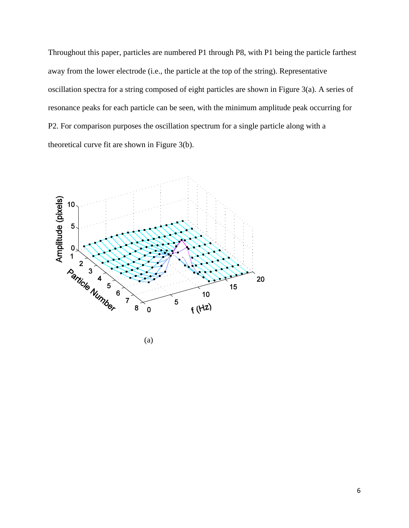Throughout this paper, particles are numbered P1 through P8, with P1 being the particle farthest away from the lower electrode (i.e., the particle at the top of the string). Representative oscillation spectra for a string composed of eight particles are shown in Figure 3(a). A series of resonance peaks for each particle can be seen, with the minimum amplitude peak occurring for P2. For comparison purposes the oscillation spectrum for a single particle along with a theoretical curve fit are shown in Figure 3(b).

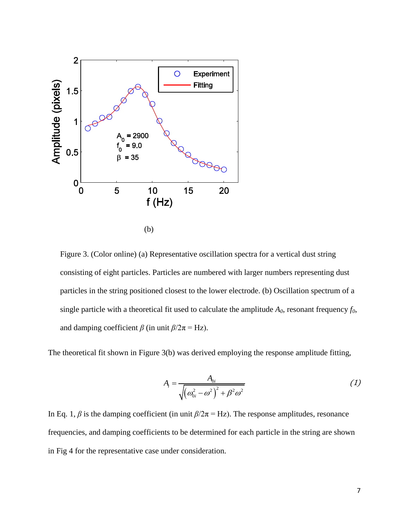

Figure 3. (Color online) (a) Representative oscillation spectra for a vertical dust string consisting of eight particles. Particles are numbered with larger numbers representing dust particles in the string positioned closest to the lower electrode. (b) Oscillation spectrum of a single particle with a theoretical fit used to calculate the amplitude  $A_0$ , resonant frequency  $f_0$ , and damping coefficient  $\beta$  (in unit  $\beta/2\pi = Hz$ ).

The theoretical fit shown in Figure 3(b) was derived employing the response amplitude fitting,

$$
A_{i} = \frac{A_{0i}}{\sqrt{\left(\omega_{0i}^{2} - \omega^{2}\right)^{2} + \beta^{2} \omega^{2}}}
$$
 (1)

In Eq. 1,  $\beta$  is the damping coefficient (in unit  $\beta/2\pi = Hz$ ). The response amplitudes, resonance frequencies, and damping coefficients to be determined for each particle in the string are shown in Fig 4 for the representative case under consideration.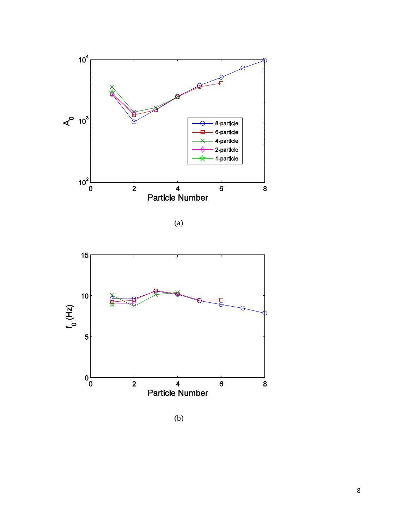



(b)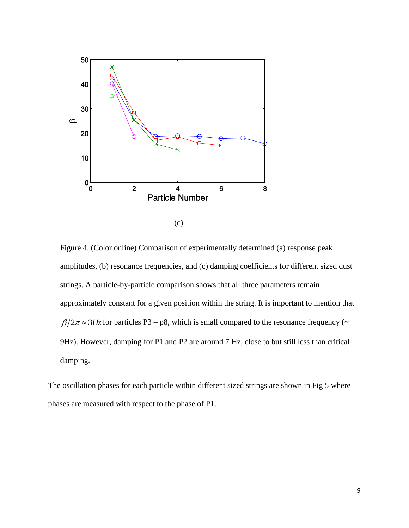

Figure 4. (Color online) Comparison of experimentally determined (a) response peak amplitudes, (b) resonance frequencies, and (c) damping coefficients for different sized dust strings. A particle-by-particle comparison shows that all three parameters remain approximately constant for a given position within the string. It is important to mention that  $\beta/2\pi \approx 3$ Hz for particles P3 – p8, which is small compared to the resonance frequency ( $\sim$ 9Hz). However, damping for P1 and P2 are around 7 Hz, close to but still less than critical damping.

The oscillation phases for each particle within different sized strings are shown in Fig 5 where phases are measured with respect to the phase of P1.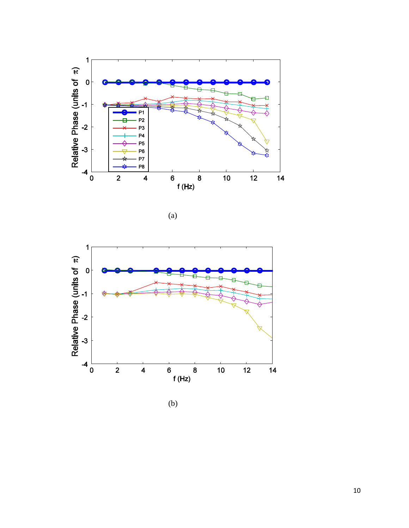



(b)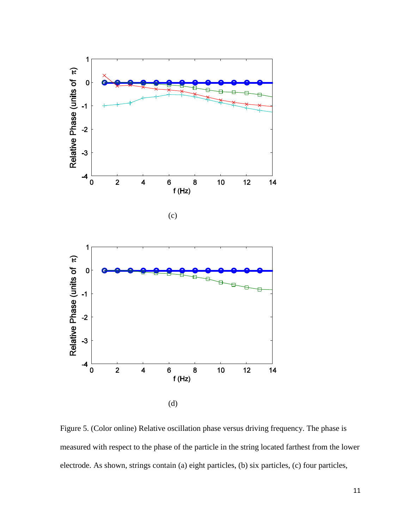

Figure 5. (Color online) Relative oscillation phase versus driving frequency. The phase is measured with respect to the phase of the particle in the string located farthest from the lower electrode. As shown, strings contain (a) eight particles, (b) six particles, (c) four particles,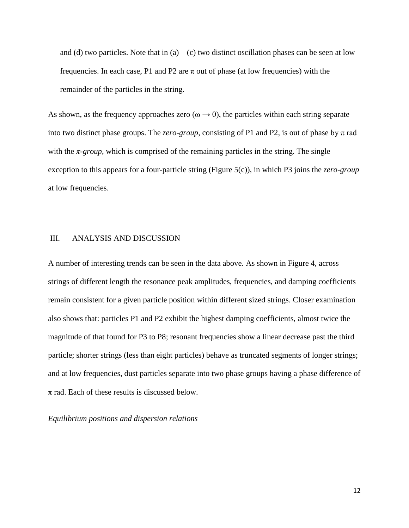and (d) two particles. Note that in  $(a) - (c)$  two distinct oscillation phases can be seen at low frequencies. In each case, P1 and P2 are  $\pi$  out of phase (at low frequencies) with the remainder of the particles in the string.

As shown, as the frequency approaches zero ( $\omega \rightarrow 0$ ), the particles within each string separate into two distinct phase groups. The *zero-group*, consisting of P1 and P2, is out of phase by  $\pi$  rad with the  $\pi$ -group, which is comprised of the remaining particles in the string. The single exception to this appears for a four-particle string (Figure 5(c)), in which P3 joins the *zero-group* at low frequencies.

# III. ANALYSIS AND DISCUSSION

A number of interesting trends can be seen in the data above. As shown in Figure 4, across strings of different length the resonance peak amplitudes, frequencies, and damping coefficients remain consistent for a given particle position within different sized strings. Closer examination also shows that: particles P1 and P2 exhibit the highest damping coefficients, almost twice the magnitude of that found for P3 to P8; resonant frequencies show a linear decrease past the third particle; shorter strings (less than eight particles) behave as truncated segments of longer strings; and at low frequencies, dust particles separate into two phase groups having a phase difference of  $\pi$  rad. Each of these results is discussed below.

*Equilibrium positions and dispersion relations*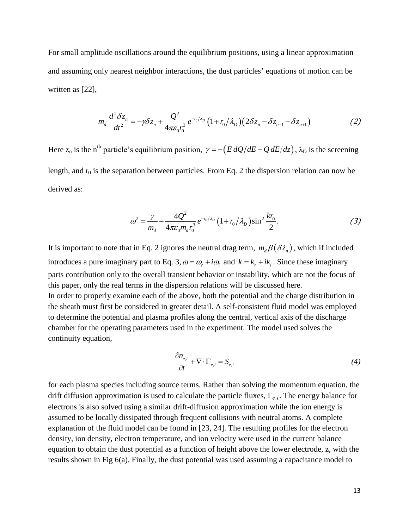For small amplitude oscillations around the equilibrium positions, using a linear approximation and assuming only nearest neighbor interactions, the dust particles' equations of motion can be written as [22],

$$
m_d \frac{d^2 \delta z_n}{dt^2} = -\gamma \delta z_n + \frac{Q^2}{4\pi \varepsilon_0 r_0^3} e^{-r_0/\lambda_D} \left(1 + r_0/\lambda_D\right) \left(2\delta z_n - \delta z_{n-1} - \delta z_{n+1}\right)
$$
 (2)

Here  $z_n$  is the n<sup>th</sup> particle's equilibrium position,  $\gamma = -\left(E dQ/dE + Q dE/dz\right)$ ,  $\lambda_D$  is the screening length, and  $r_0$  is the separation between particles. From Eq. 2 the dispersion relation can now be derived as:

$$
\omega^2 = \frac{\gamma}{m_d} - \frac{4Q^2}{4\pi\varepsilon_0 m_d r_0^3} e^{-r_0/\lambda_D} \left(1 + r_0/\lambda_D\right) \sin^2 \frac{k r_0}{2}.\tag{3}
$$

It is important to note that in Eq. 2 ignores the neutral drag term,  $m_d\beta(\delta\dot{z}_n)$ , which if included introduces a pure imaginary part to Eq. 3,  $\omega = \omega_r + i\omega_i$  and  $k = k_r + ik_i$ . Since these imaginary parts contribution only to the overall transient behavior or instability, which are not the focus of this paper, only the real terms in the dispersion relations will be discussed here. In order to properly examine each of the above, both the potential and the charge distribution in the sheath must first be considered in greater detail. A self-consistent fluid model was employed to determine the potential and plasma profiles along the central, vertical axis of the discharge chamber for the operating parameters used in the experiment. The model used solves the continuity equation,

$$
\frac{\partial n_{e,i}}{\partial t} + \nabla \cdot \Gamma_{e,i} = S_{e,i}
$$
\n<sup>(4)</sup>

for each plasma species including source terms. Rather than solving the momentum equation, the drift diffusion approximation is used to calculate the particle fluxes,  $\Gamma_{e,i}$ . The energy balance for electrons is also solved using a similar drift-diffusion approximation while the ion energy is assumed to be locally dissipated through frequent collisions with neutral atoms. A complete explanation of the fluid model can be found in [23, 24]. The resulting profiles for the electron density, ion density, electron temperature, and ion velocity were used in the current balance equation to obtain the dust potential as a function of height above the lower electrode, z, with the results shown in Fig 6(a). Finally, the dust potential was used assuming a capacitance model to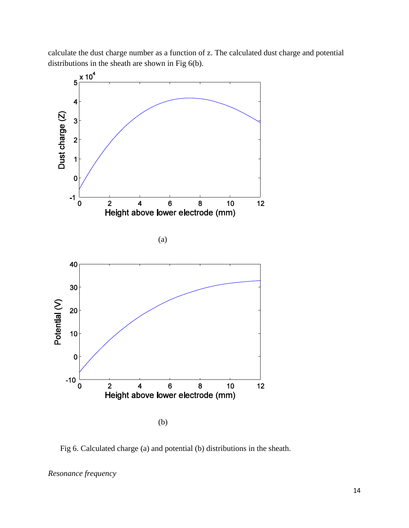calculate the dust charge number as a function of z. The calculated dust charge and potential distributions in the sheath are shown in Fig 6(b).



Fig 6. Calculated charge (a) and potential (b) distributions in the sheath.

*Resonance frequency*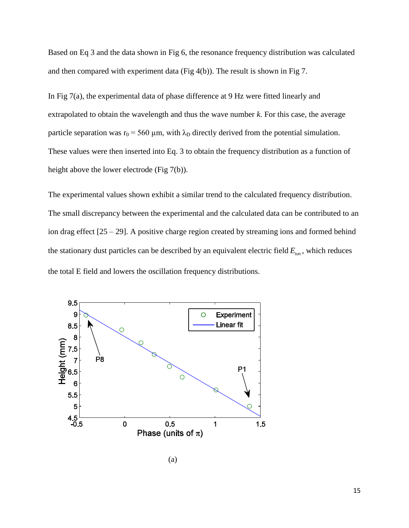Based on Eq 3 and the data shown in Fig 6, the resonance frequency distribution was calculated and then compared with experiment data (Fig 4(b)). The result is shown in Fig 7.

In Fig 7(a), the experimental data of phase difference at 9 Hz were fitted linearly and extrapolated to obtain the wavelength and thus the wave number *k*. For this case, the average particle separation was  $r_0 = 560 \mu m$ , with  $\lambda_D$  directly derived from the potential simulation. These values were then inserted into Eq. 3 to obtain the frequency distribution as a function of height above the lower electrode (Fig 7(b)).

The experimental values shown exhibit a similar trend to the calculated frequency distribution. The small discrepancy between the experimental and the calculated data can be contributed to an ion drag effect [25 – 29]. A positive charge region created by streaming ions and formed behind the stationary dust particles can be described by an equivalent electric field *Eion* , which reduces the total E field and lowers the oscillation frequency distributions.

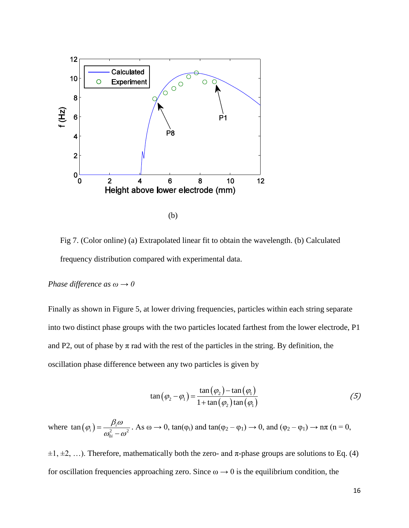

Fig 7. (Color online) (a) Extrapolated linear fit to obtain the wavelength. (b) Calculated frequency distribution compared with experimental data.

# *Phase difference as*  $\omega \rightarrow 0$

Finally as shown in Figure 5, at lower driving frequencies, particles within each string separate into two distinct phase groups with the two particles located farthest from the lower electrode, P1 and P2, out of phase by  $\pi$  rad with the rest of the particles in the string. By definition, the oscillation phase difference between any two particles is given by

$$
\tan\left(\varphi_2 - \varphi_1\right) = \frac{\tan\left(\varphi_2\right) - \tan\left(\varphi_1\right)}{1 + \tan\left(\varphi_2\right)\tan\left(\varphi_1\right)}\tag{5}
$$

where  $\tan(\varphi_i) = \frac{P_i \omega}{\omega_{0i}^2 - \omega^2}$  $\tan\left(\varphi_i\right) = \frac{\rho_i}{a^2}$ *i*  $(\varphi_i) = \frac{\beta_i \omega}{\omega_{0i}^2 - \omega^2}$  $\overline{a}$ . As  $\omega \to 0$ , tan( $\varphi$ <sub>i</sub>) and tan( $\varphi$ <sub>2</sub> –  $\varphi$ <sub>1</sub>)  $\to 0$ , and ( $\varphi$ <sub>2</sub> –  $\varphi$ <sub>1</sub>)  $\to \pi$  (n = 0,

 $\pm 1, \pm 2, \ldots$ ). Therefore, mathematically both the zero- and  $\pi$ -phase groups are solutions to Eq. (4) for oscillation frequencies approaching zero. Since  $\omega \rightarrow 0$  is the equilibrium condition, the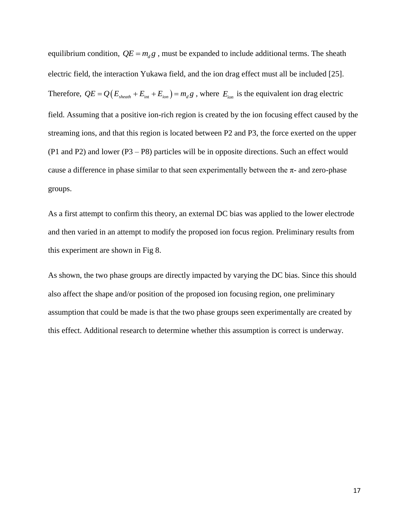equilibrium condition,  $QE = m_d g$ , must be expanded to include additional terms. The sheath electric field, the interaction Yukawa field, and the ion drag effect must all be included [25]. Therefore,  $QE = Q(E_{\text{sheath}} + E_{\text{int}} + E_{\text{ion}}) = m_d g$ , where  $E_{\text{ion}}$  is the equivalent ion drag electric field. Assuming that a positive ion-rich region is created by the ion focusing effect caused by the streaming ions, and that this region is located between P2 and P3, the force exerted on the upper (P1 and P2) and lower (P3 – P8) particles will be in opposite directions. Such an effect would cause a difference in phase similar to that seen experimentally between the  $\pi$ - and zero-phase groups.

As a first attempt to confirm this theory, an external DC bias was applied to the lower electrode and then varied in an attempt to modify the proposed ion focus region. Preliminary results from this experiment are shown in Fig 8.

As shown, the two phase groups are directly impacted by varying the DC bias. Since this should also affect the shape and/or position of the proposed ion focusing region, one preliminary assumption that could be made is that the two phase groups seen experimentally are created by this effect. Additional research to determine whether this assumption is correct is underway.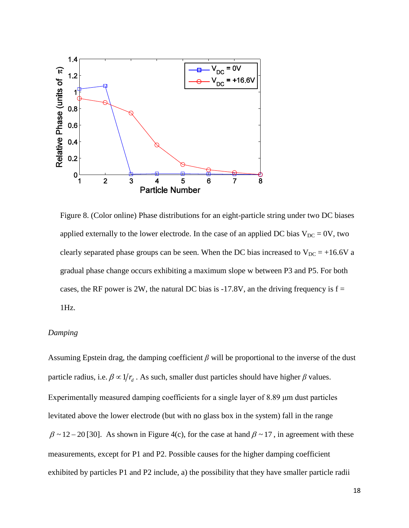

Figure 8. (Color online) Phase distributions for an eight-particle string under two DC biases applied externally to the lower electrode. In the case of an applied DC bias  $V_{DC} = 0V$ , two clearly separated phase groups can be seen. When the DC bias increased to  $V_{DC} = +16.6V$  a gradual phase change occurs exhibiting a maximum slope w between P3 and P5. For both cases, the RF power is 2W, the natural DC bias is -17.8V, an the driving frequency is  $f =$ 1Hz.

## *Damping*

Assuming Epstein drag, the damping coefficient *β* will be proportional to the inverse of the dust particle radius, i.e.  $\beta \propto 1/r_d$ . As such, smaller dust particles should have higher  $\beta$  values. Experimentally measured damping coefficients for a single layer of 8.89 μm dust particles levitated above the lower electrode (but with no glass box in the system) fall in the range  $\beta \sim 12 - 20$  [30]. As shown in Figure 4(c), for the case at hand  $\beta \sim 17$ , in agreement with these measurements, except for P1 and P2. Possible causes for the higher damping coefficient exhibited by particles P1 and P2 include, a) the possibility that they have smaller particle radii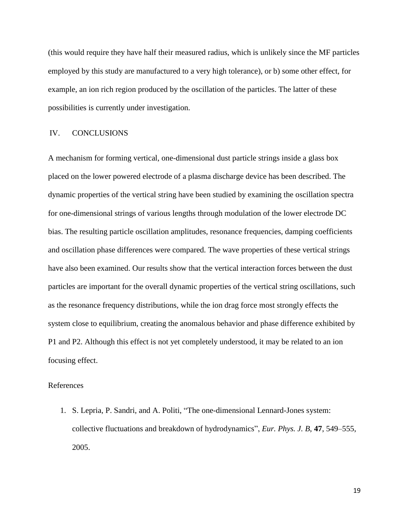(this would require they have half their measured radius, which is unlikely since the MF particles employed by this study are manufactured to a very high tolerance), or b) some other effect, for example, an ion rich region produced by the oscillation of the particles. The latter of these possibilities is currently under investigation.

# IV. CONCLUSIONS

A mechanism for forming vertical, one-dimensional dust particle strings inside a glass box placed on the lower powered electrode of a plasma discharge device has been described. The dynamic properties of the vertical string have been studied by examining the oscillation spectra for one-dimensional strings of various lengths through modulation of the lower electrode DC bias. The resulting particle oscillation amplitudes, resonance frequencies, damping coefficients and oscillation phase differences were compared. The wave properties of these vertical strings have also been examined. Our results show that the vertical interaction forces between the dust particles are important for the overall dynamic properties of the vertical string oscillations, such as the resonance frequency distributions, while the ion drag force most strongly effects the system close to equilibrium, creating the anomalous behavior and phase difference exhibited by P1 and P2. Although this effect is not yet completely understood, it may be related to an ion focusing effect.

## References

1. S. Lepria, P. Sandri, and A. Politi, "The one-dimensional Lennard-Jones system: collective fluctuations and breakdown of hydrodynamics", *Eur. Phys. J. B*, **47**, 549–555, 2005.

19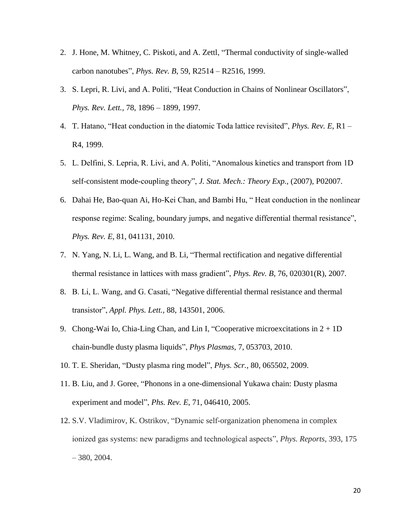- 2. J. Hone, M. Whitney, C. Piskoti, and A. Zettl, "Thermal conductivity of single-walled carbon nanotubes", *Phys. Rev. B*, 59, R2514 – R2516, 1999.
- 3. S. Lepri, R. Livi, and A. Politi, "Heat Conduction in Chains of Nonlinear Oscillators", *Phys. Rev. Lett.,* 78, 1896 – 1899, 1997.
- 4. T. Hatano, "Heat conduction in the diatomic Toda lattice revisited", *Phys. Rev. E*, R1 R4, 1999.
- 5. L. Delfini, S. Lepria, R. Livi, and A. Politi, "Anomalous kinetics and transport from 1D self-consistent mode-coupling theory", *J. Stat. Mech.: Theory Exp.,* (2007), P02007.
- 6. Dahai He, Bao-quan Ai, Ho-Kei Chan, and Bambi Hu, " Heat conduction in the nonlinear response regime: Scaling, boundary jumps, and negative differential thermal resistance", *Phys. Rev. E*, 81, 041131, 2010.
- 7. N. Yang, N. Li, L. Wang, and B. Li, "Thermal rectification and negative differential thermal resistance in lattices with mass gradient", *Phys. Rev. B*, 76, 020301(R), 2007.
- 8. B. Li, L. Wang, and G. Casati, "Negative differential thermal resistance and thermal transistor", *Appl. Phys. Lett.,* 88, 143501, 2006.
- 9. Chong-Wai Io, Chia-Ling Chan, and Lin I, "Cooperative microexcitations in  $2 + 1D$ chain-bundle dusty plasma liquids", *Phys Plasmas,* 7, 053703, 2010.
- 10. T. E. Sheridan, "Dusty plasma ring model", *Phys. Scr.,* 80, 065502, 2009.
- 11. B. Liu, and J. Goree, "Phonons in a one-dimensional Yukawa chain: Dusty plasma experiment and model", *Phs. Rev. E*, 71, 046410, 2005.
- 12. S.V. Vladimirov, K. Ostrikov, "Dynamic self-organization phenomena in complex ionized gas systems: new paradigms and technological aspects", *Phys. Reports*, 393, 175 – 380, 2004.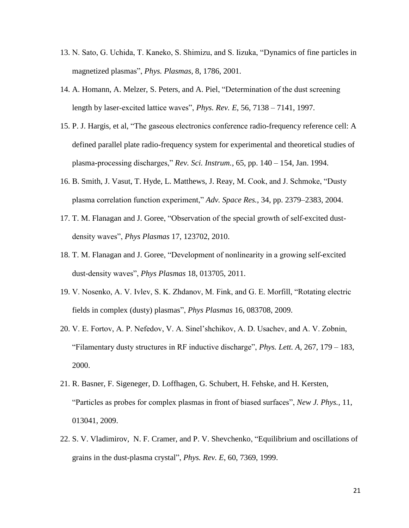- 13. N. Sato, G. Uchida, T. Kaneko, S. Shimizu, and S. Iizuka, "Dynamics of fine particles in magnetized plasmas", *Phys. Plasmas*, 8, 1786, 2001.
- 14. [A. Homann,](http://publish.aps.org/search/field/author/Homann_A) [A. Melzer,](http://publish.aps.org/search/field/author/Melzer_A) S. [Peters,](http://publish.aps.org/search/field/author/Peters_S) and [A. Piel,](http://publish.aps.org/search/field/author/Piel_A) "Determination of the dust screening length by laser-excited lattice waves", *Phys. Rev. E*, 56, 7138 – 7141, 1997.
- 15. P. J. Hargis, et al, "The gaseous electronics conference radio-frequency reference cell: A defined parallel plate radio-frequency system for experimental and theoretical studies of plasma-processing discharges," *Rev. Sci. Instrum.*, 65, pp. 140 – 154, Jan. 1994.
- 16. B. Smith, J. Vasut, T. Hyde, L. Matthews, J. Reay, M. Cook, and J. Schmoke, "Dusty plasma correlation function experiment," *Adv. Space Res.*, 34, pp. 2379–2383, 2004.
- 17. T. M. Flanagan and J. Goree, "Observation of the special growth of self-excited dustdensity waves", *Phys Plasmas* 17, 123702, 2010.
- 18. T. M. Flanagan and J. Goree, "Development of nonlinearity in a growing self-excited dust-density waves", *Phys Plasmas* 18, 013705, 2011.
- 19. V. Nosenko, A. V. Ivlev, S. K. Zhdanov, M. Fink, and G. E. Morfill, "Rotating electric fields in complex (dusty) plasmas", *Phys Plasmas* 16, 083708, 2009.
- 20. V. E. Fortov, A. P. Nefedov, V. A. Sinel'shchikov, A. D. Usachev, and A. V. Zobnin, "Filamentary dusty structures in RF inductive discharge", *Phys. Lett. A,* 267, 179 – 183, 2000.
- 21. R. Basner, F. Sigeneger, D. Loffhagen, G. Schubert, H. Fehske, and H. Kersten, "Particles as probes for complex plasmas in front of biased surfaces", *New J. Phys.,* 11, 013041, 2009.
- 22. S. V. Vladimirov, N. F. Cramer, and P. V. Shevchenko, "Equilibrium and oscillations of grains in the dust-plasma crystal", *Phys. Rev. E*, 60, 7369, 1999.